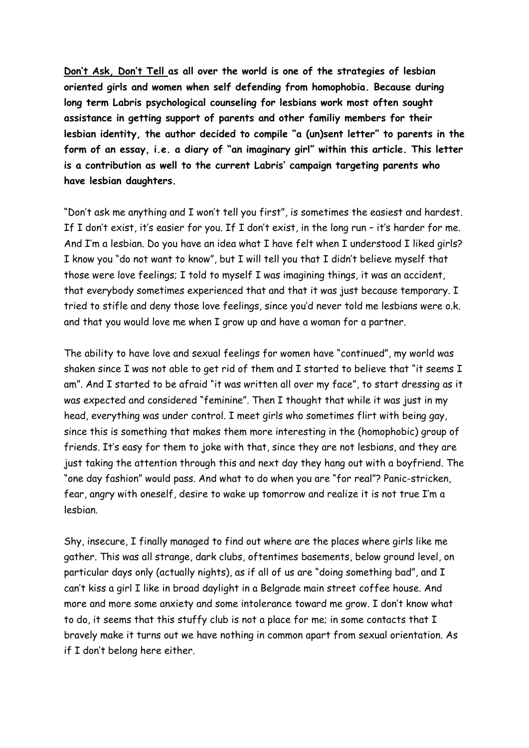**Don't Ask, Don't Tell as all over the world is one of the strategies of lesbian oriented girls and women when self defending from homophobia. Because during long term Labris psychological counseling for lesbians work most often sought assistance in getting support of parents and other familiy members for their lesbian identity, the author decided to compile "a (un)sent letter" to parents in the form of an essay, i.e. a diary of "an imaginary girl" within this article. This letter is a contribution as well to the current Labris' campaign targeting parents who have lesbian daughters.**

"Don't ask me anything and I won't tell you first", is sometimes the easiest and hardest. If I don't exist, it's easier for you. If I don't exist, in the long run – it's harder for me. And I'm a lesbian. Do you have an idea what I have felt when I understood I liked girls? I know you "do not want to know", but I will tell you that I didn't believe myself that those were love feelings; I told to myself I was imagining things, it was an accident, that everybody sometimes experienced that and that it was just because temporary. I tried to stifle and deny those love feelings, since you'd never told me lesbians were o.k. and that you would love me when I grow up and have a woman for a partner.

The ability to have love and sexual feelings for women have "continued", my world was shaken since I was not able to get rid of them and I started to believe that "it seems I am". And I started to be afraid "it was written all over my face", to start dressing as it was expected and considered "feminine". Then I thought that while it was just in my head, everything was under control. I meet girls who sometimes flirt with being gay, since this is something that makes them more interesting in the (homophobic) group of friends. It's easy for them to joke with that, since they are not lesbians, and they are just taking the attention through this and next day they hang out with a boyfriend. The "one day fashion" would pass. And what to do when you are "for real"? Panic-stricken, fear, angry with oneself, desire to wake up tomorrow and realize it is not true I'm a lesbian.

Shy, insecure, I finally managed to find out where are the places where girls like me gather. This was all strange, dark clubs, oftentimes basements, below ground level, on particular days only (actually nights), as if all of us are "doing something bad", and I can't kiss a girl I like in broad daylight in a Belgrade main street coffee house. And more and more some anxiety and some intolerance toward me grow. I don't know what to do, it seems that this stuffy club is not a place for me; in some contacts that I bravely make it turns out we have nothing in common apart from sexual orientation. As if I don't belong here either.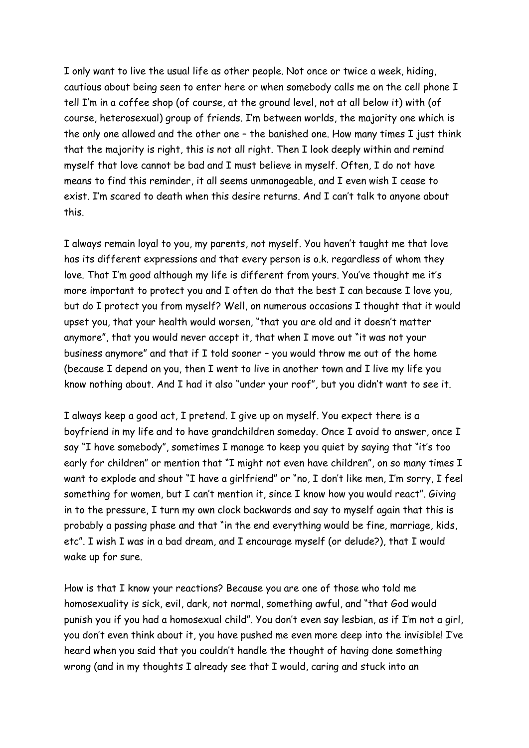I only want to live the usual life as other people. Not once or twice a week, hiding, cautious about being seen to enter here or when somebody calls me on the cell phone I tell I'm in a coffee shop (of course, at the ground level, not at all below it) with (of course, heterosexual) group of friends. I'm between worlds, the majority one which is the only one allowed and the other one - the banished one. How many times I just think that the majority is right, this is not all right. Then I look deeply within and remind myself that love cannot be bad and I must believe in myself. Often, I do not have means to find this reminder, it all seems unmanageable, and I even wish I cease to exist. I'm scared to death when this desire returns. And I can't talk to anyone about this.

I always remain loyal to you, my parents, not myself. You haven't taught me that love has its different expressions and that every person is o.k. regardless of whom they love. That I'm good although my life is different from yours. You've thought me it's more important to protect you and I often do that the best I can because I love you, but do I protect you from myself? Well, on numerous occasions I thought that it would upset you, that your health would worsen, "that you are old and it doesn't matter anymore", that you would never accept it, that when I move out "it was not your business anymore" and that if I told sooner – you would throw me out of the home (because I depend on you, then I went to live in another town and I live my life you know nothing about. And I had it also "under your roof", but you didn't want to see it.

I always keep a good act, I pretend. I give up on myself. You expect there is a boyfriend in my life and to have grandchildren someday. Once I avoid to answer, once I say "I have somebody", sometimes I manage to keep you quiet by saying that "it's too early for children" or mention that "I might not even have children", on so many times I want to explode and shout "I have a girlfriend" or "no, I don't like men, I'm sorry, I feel something for women, but I can't mention it, since I know how you would react". Giving in to the pressure, I turn my own clock backwards and say to myself again that this is probably a passing phase and that "in the end everything would be fine, marriage, kids, etc". I wish I was in a bad dream, and I encourage myself (or delude?), that I would wake up for sure.

How is that I know your reactions? Because you are one of those who told me homosexuality is sick, evil, dark, not normal, something awful, and "that God would punish you if you had a homosexual child". You don't even say lesbian, as if I'm not a girl, you don't even think about it, you have pushed me even more deep into the invisible! I've heard when you said that you couldn't handle the thought of having done something wrong (and in my thoughts I already see that I would, caring and stuck into an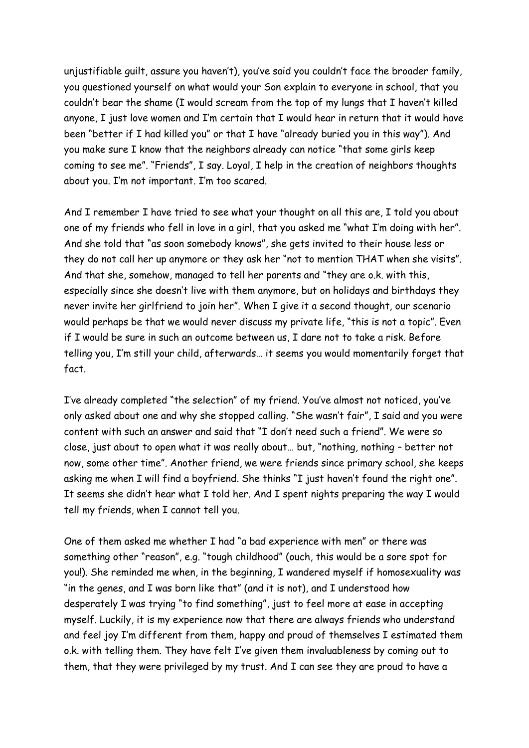unjustifiable guilt, assure you haven't), you've said you couldn't face the broader family, you questioned yourself on what would your Son explain to everyone in school, that you couldn't bear the shame (I would scream from the top of my lungs that I haven't killed anyone, I just love women and I'm certain that I would hear in return that it would have been "better if I had killed you" or that I have "already buried you in this way"). And you make sure I know that the neighbors already can notice "that some girls keep coming to see me". "Friends", I say. Loyal, I help in the creation of neighbors thoughts about you. I'm not important. I'm too scared.

And I remember I have tried to see what your thought on all this are, I told you about one of my friends who fell in love in a girl, that you asked me "what I'm doing with her". And she told that "as soon somebody knows", she gets invited to their house less or they do not call her up anymore or they ask her "not to mention THAT when she visits". And that she, somehow, managed to tell her parents and "they are o.k. with this, especially since she doesn't live with them anymore, but on holidays and birthdays they never invite her girlfriend to join her". When I give it a second thought, our scenario would perhaps be that we would never discuss my private life, "this is not a topic". Even if I would be sure in such an outcome between us, I dare not to take a risk. Before telling you, I'm still your child, afterwards… it seems you would momentarily forget that fact.

I've already completed "the selection" of my friend. You've almost not noticed, you've only asked about one and why she stopped calling. "She wasn't fair", I said and you were content with such an answer and said that "I don't need such a friend". We were so close, just about to open what it was really about… but, "nothing, nothing – better not now, some other time". Another friend, we were friends since primary school, she keeps asking me when I will find a boyfriend. She thinks "I just haven't found the right one". It seems she didn't hear what I told her. And I spent nights preparing the way I would tell my friends, when I cannot tell you.

One of them asked me whether I had "a bad experience with men" or there was something other "reason", e.g. "tough childhood" (ouch, this would be a sore spot for you!). She reminded me when, in the beginning, I wandered myself if homosexuality was "in the genes, and I was born like that" (and it is not), and I understood how desperately I was trying "to find something", just to feel more at ease in accepting myself. Luckily, it is my experience now that there are always friends who understand and feel joy I'm different from them, happy and proud of themselves I estimated them o.k. with telling them. They have felt I've given them invaluableness by coming out to them, that they were privileged by my trust. And I can see they are proud to have a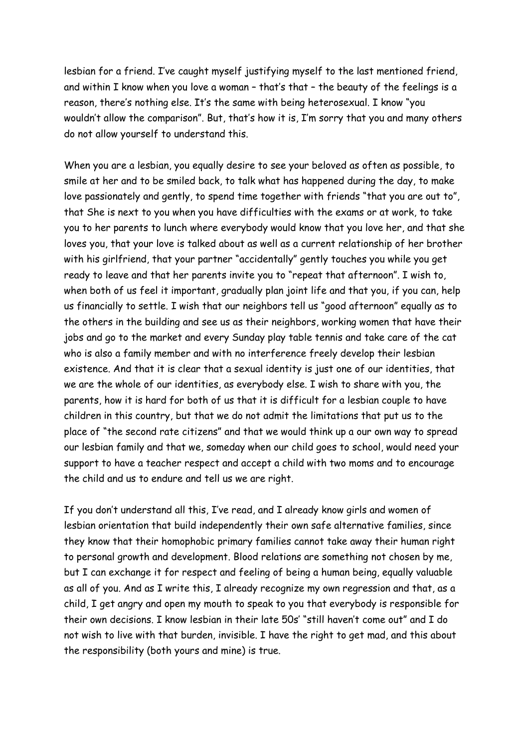lesbian for a friend. I've caught myself justifying myself to the last mentioned friend, and within I know when you love a woman – that's that – the beauty of the feelings is a reason, there's nothing else. It's the same with being heterosexual. I know "you wouldn't allow the comparison". But, that's how it is, I'm sorry that you and many others do not allow yourself to understand this.

When you are a lesbian, you equally desire to see your beloved as often as possible, to smile at her and to be smiled back, to talk what has happened during the day, to make love passionately and gently, to spend time together with friends "that you are out to", that She is next to you when you have difficulties with the exams or at work, to take you to her parents to lunch where everybody would know that you love her, and that she loves you, that your love is talked about as well as a current relationship of her brother with his girlfriend, that your partner "accidentally" gently touches you while you get ready to leave and that her parents invite you to "repeat that afternoon". I wish to, when both of us feel it important, gradually plan joint life and that you, if you can, help us financially to settle. I wish that our neighbors tell us "good afternoon" equally as to the others in the building and see us as their neighbors, working women that have their jobs and go to the market and every Sunday play table tennis and take care of the cat who is also a family member and with no interference freely develop their lesbian existence. And that it is clear that a sexual identity is just one of our identities, that we are the whole of our identities, as everybody else. I wish to share with you, the parents, how it is hard for both of us that it is difficult for a lesbian couple to have children in this country, but that we do not admit the limitations that put us to the place of "the second rate citizens" and that we would think up a our own way to spread our lesbian family and that we, someday when our child goes to school, would need your support to have a teacher respect and accept a child with two moms and to encourage the child and us to endure and tell us we are right.

If you don't understand all this, I've read, and I already know girls and women of lesbian orientation that build independently their own safe alternative families, since they know that their homophobic primary families cannot take away their human right to personal growth and development. Blood relations are something not chosen by me, but I can exchange it for respect and feeling of being a human being, equally valuable as all of you. And as I write this, I already recognize my own regression and that, as a child, I get angry and open my mouth to speak to you that everybody is responsible for their own decisions. I know lesbian in their late 50s' "still haven't come out" and I do not wish to live with that burden, invisible. I have the right to get mad, and this about the responsibility (both yours and mine) is true.